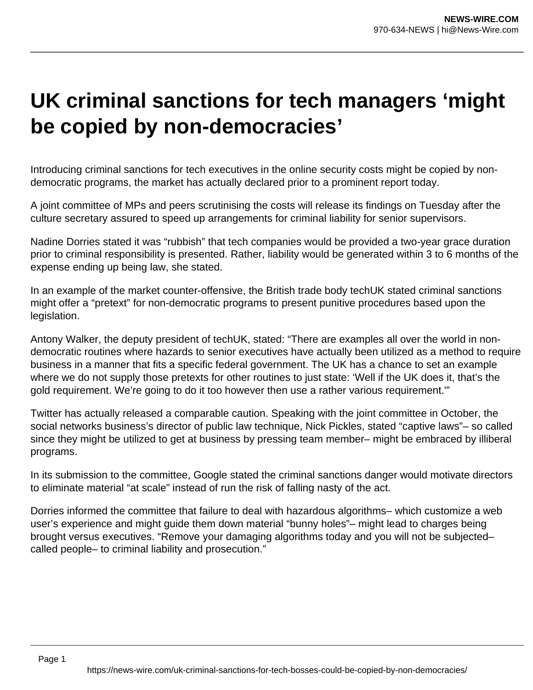## **UK criminal sanctions for tech managers 'might be copied by non-democracies'**

Introducing criminal sanctions for tech executives in the online security costs might be copied by nondemocratic programs, the market has actually declared prior to a prominent report today.

A joint committee of MPs and peers scrutinising the costs will release its findings on Tuesday after the culture secretary assured to speed up arrangements for criminal liability for senior supervisors.

Nadine Dorries stated it was "rubbish" that tech companies would be provided a two-year grace duration prior to criminal responsibility is presented. Rather, liability would be generated within 3 to 6 months of the expense ending up being law, she stated.

In an example of the market counter-offensive, the British trade body techUK stated criminal sanctions might offer a "pretext" for non-democratic programs to present punitive procedures based upon the legislation.

Antony Walker, the deputy president of techUK, stated: "There are examples all over the world in nondemocratic routines where hazards to senior executives have actually been utilized as a method to require business in a manner that fits a specific federal government. The UK has a chance to set an example where we do not supply those pretexts for other routines to just state: 'Well if the UK does it, that's the gold requirement. We're going to do it too however then use a rather various requirement.'"

Twitter has actually released a comparable caution. Speaking with the joint committee in October, the social networks business's director of public law technique, Nick Pickles, stated "captive laws"– so called since they might be utilized to get at business by pressing team member– might be embraced by illiberal programs.

In its submission to the committee, Google stated the criminal sanctions danger would motivate directors to eliminate material "at scale" instead of run the risk of falling nasty of the act.

Dorries informed the committee that failure to deal with hazardous algorithms– which customize a web user's experience and might guide them down material "bunny holes"– might lead to charges being brought versus executives. "Remove your damaging algorithms today and you will not be subjected– called people– to criminal liability and prosecution."